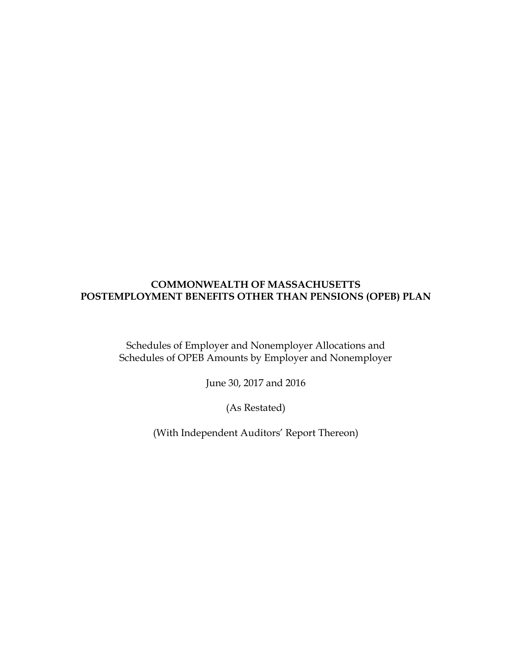Schedules of Employer and Nonemployer Allocations and Schedules of OPEB Amounts by Employer and Nonemployer

June 30, 2017 and 2016

(As Restated)

(With Independent Auditors' Report Thereon)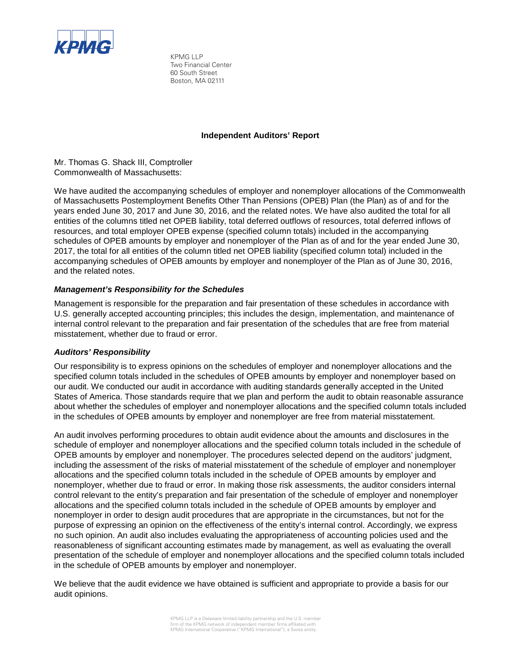

KPMG LLP Two Financial Center 60 South Street Boston, MA 02111

## **Independent Auditors' Report**

Mr. Thomas G. Shack III, Comptroller Commonwealth of Massachusetts:

We have audited the accompanying schedules of employer and nonemployer allocations of the Commonwealth of Massachusetts Postemployment Benefits Other Than Pensions (OPEB) Plan (the Plan) as of and for the years ended June 30, 2017 and June 30, 2016, and the related notes. We have also audited the total for all entities of the columns titled net OPEB liability, total deferred outflows of resources, total deferred inflows of resources, and total employer OPEB expense (specified column totals) included in the accompanying schedules of OPEB amounts by employer and nonemployer of the Plan as of and for the year ended June 30, 2017, the total for all entities of the column titled net OPEB liability (specified column total) included in the accompanying schedules of OPEB amounts by employer and nonemployer of the Plan as of June 30, 2016, and the related notes.

## *Management's Responsibility for the Schedules*

Management is responsible for the preparation and fair presentation of these schedules in accordance with U.S. generally accepted accounting principles; this includes the design, implementation, and maintenance of internal control relevant to the preparation and fair presentation of the schedules that are free from material misstatement, whether due to fraud or error.

## *Auditors' Responsibility*

Our responsibility is to express opinions on the schedules of employer and nonemployer allocations and the specified column totals included in the schedules of OPEB amounts by employer and nonemployer based on our audit. We conducted our audit in accordance with auditing standards generally accepted in the United States of America. Those standards require that we plan and perform the audit to obtain reasonable assurance about whether the schedules of employer and nonemployer allocations and the specified column totals included in the schedules of OPEB amounts by employer and nonemployer are free from material misstatement.

An audit involves performing procedures to obtain audit evidence about the amounts and disclosures in the schedule of employer and nonemployer allocations and the specified column totals included in the schedule of OPEB amounts by employer and nonemployer. The procedures selected depend on the auditors' judgment, including the assessment of the risks of material misstatement of the schedule of employer and nonemployer allocations and the specified column totals included in the schedule of OPEB amounts by employer and nonemployer, whether due to fraud or error. In making those risk assessments, the auditor considers internal control relevant to the entity's preparation and fair presentation of the schedule of employer and nonemployer allocations and the specified column totals included in the schedule of OPEB amounts by employer and nonemployer in order to design audit procedures that are appropriate in the circumstances, but not for the purpose of expressing an opinion on the effectiveness of the entity's internal control. Accordingly, we express no such opinion. An audit also includes evaluating the appropriateness of accounting policies used and the reasonableness of significant accounting estimates made by management, as well as evaluating the overall presentation of the schedule of employer and nonemployer allocations and the specified column totals included in the schedule of OPEB amounts by employer and nonemployer.

We believe that the audit evidence we have obtained is sufficient and appropriate to provide a basis for our audit opinions.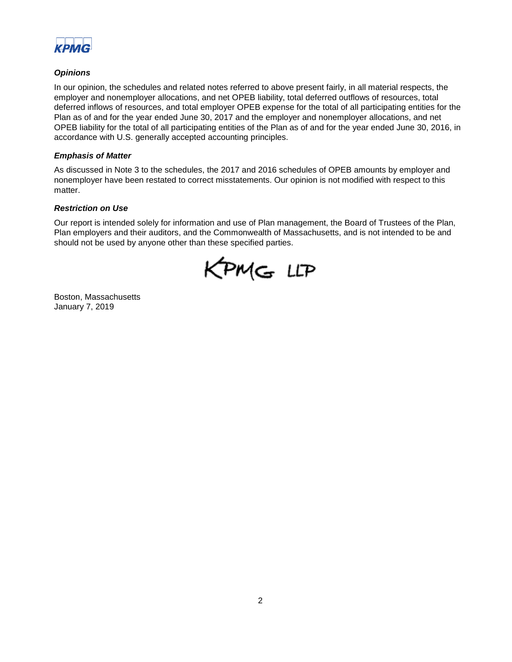

## *Opinions*

In our opinion, the schedules and related notes referred to above present fairly, in all material respects, the employer and nonemployer allocations, and net OPEB liability, total deferred outflows of resources, total deferred inflows of resources, and total employer OPEB expense for the total of all participating entities for the Plan as of and for the year ended June 30, 2017 and the employer and nonemployer allocations, and net OPEB liability for the total of all participating entities of the Plan as of and for the year ended June 30, 2016, in accordance with U.S. generally accepted accounting principles.

## *Emphasis of Matter*

As discussed in Note 3 to the schedules, the 2017 and 2016 schedules of OPEB amounts by employer and nonemployer have been restated to correct misstatements. Our opinion is not modified with respect to this matter.

#### *Restriction on Use*

Our report is intended solely for information and use of Plan management, the Board of Trustees of the Plan, Plan employers and their auditors, and the Commonwealth of Massachusetts, and is not intended to be and should not be used by anyone other than these specified parties.

KPMG LLP

Boston, Massachusetts January 7, 2019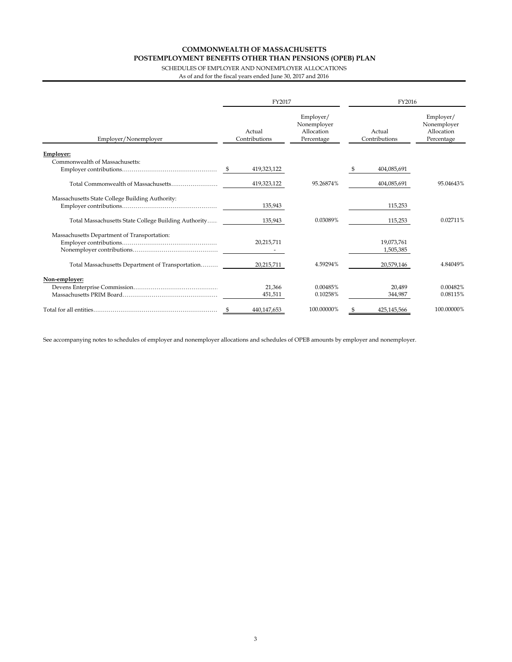SCHEDULES OF EMPLOYER AND NONEMPLOYER ALLOCATIONS As of and for the fiscal years ended June 30, 2017 and 2016

|                                                      | FY2017 |                         |                                                      |    | FY2016                  |                                                      |  |  |
|------------------------------------------------------|--------|-------------------------|------------------------------------------------------|----|-------------------------|------------------------------------------------------|--|--|
| Employer/Nonemployer                                 |        | Actual<br>Contributions | Employer/<br>Nonemployer<br>Allocation<br>Percentage |    | Actual<br>Contributions | Employer/<br>Nonemployer<br>Allocation<br>Percentage |  |  |
| Employer:                                            |        |                         |                                                      |    |                         |                                                      |  |  |
| Commonwealth of Massachusetts:                       |        | 419,323,122             |                                                      | -S | 404,085,691             |                                                      |  |  |
|                                                      |        | 419,323,122             | 95.26874%                                            |    | 404,085,691             | 95.04643%                                            |  |  |
| Massachusetts State College Building Authority:      |        | 135,943                 |                                                      |    | 115,253                 |                                                      |  |  |
| Total Massachusetts State College Building Authority |        | 135,943                 | 0.03089%                                             |    | 115,253                 | 0.02711%                                             |  |  |
| Massachusetts Department of Transportation:          |        | 20,215,711              |                                                      |    | 19,073,761<br>1,505,385 |                                                      |  |  |
| Total Massachusetts Department of Transportation     |        | 20,215,711              | 4.59294%                                             |    | 20,579,146              | 4.84049%                                             |  |  |
| Non-employer:                                        |        | 21.366<br>451,511       | 0.00485%<br>0.10258%                                 |    | 20.489<br>344,987       | 0.00482%<br>0.08115%                                 |  |  |
|                                                      | - \$   | 440.147.653             | 100.00000%                                           | \$ | 425.145.566             | 100.00000%                                           |  |  |

See accompanying notes to schedules of employer and nonemployer allocations and schedules of OPEB amounts by employer and nonemployer.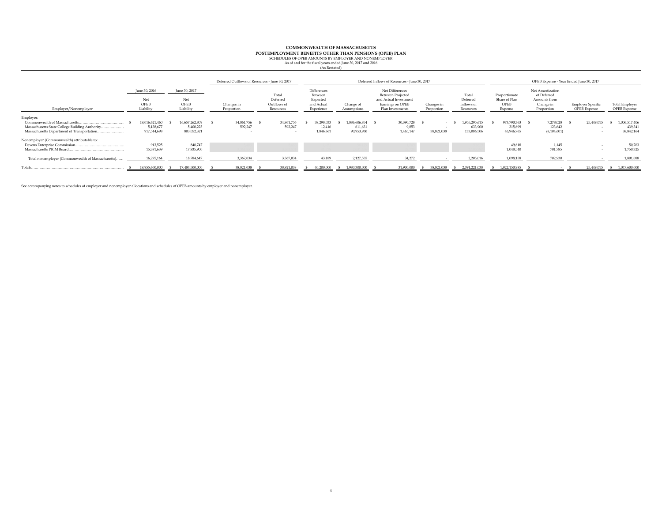#### **COMMONWEALTH OF MASSACHUSETTS**

**POSTEMPLOYMENT BENEFITS OTHER THAN PENSIONS (OPEB) PLAN**<br>SCHEDULES OF OPEB AMOUNTS BY EMPLOYER AND NONEMPLOYER

As of and for the fiscal years ended June 30, 2017 and 2016

| (As Restated) |
|---------------|
|---------------|

|                                                                                                                                                               |                                            |                                            | Deferred Outflows of Resources - June 30, 2017 |                                               |                                                                       |                                           | Deferred Inflows of Resources - June 30, 2017                                                         |                          |                                              |                                                   |                                                                            | OPEB Expense - Year Ended June 30, 2017         |                                        |
|---------------------------------------------------------------------------------------------------------------------------------------------------------------|--------------------------------------------|--------------------------------------------|------------------------------------------------|-----------------------------------------------|-----------------------------------------------------------------------|-------------------------------------------|-------------------------------------------------------------------------------------------------------|--------------------------|----------------------------------------------|---------------------------------------------------|----------------------------------------------------------------------------|-------------------------------------------------|----------------------------------------|
| Employer/Nonemployer                                                                                                                                          | June 30, 2016<br>Net<br>OPEB<br>Liability  | June 30, 2017<br>Net<br>OPEB<br>Liability  | Changes in<br>Proportion                       | Total<br>Deferred<br>Outflows of<br>Resources | <b>Differences</b><br>Between<br>Expected<br>and Actual<br>Experience | Change of<br>Assumptions                  | Net Differences<br>Between Projected<br>and Actual Investment<br>Earnings on OPEB<br>Plan Investments | Changes in<br>Proportion | Total<br>Deferred<br>Inflows of<br>Resources | Proportionate<br>Share of Plan<br>OPEB<br>Expense | Net Amortization<br>of Deferred<br>Amounts from<br>Change in<br>Proportion | <b>Employer Specific</b><br><b>OPEB</b> Expense | Total Employer<br>OPEB Expense         |
| Employer:<br>Commonwealth of Massachusetts.<br>Massachusetts State College Building Authority<br><br>Massachusetts Department of Transportation               | 18.016.621.460<br>5,138,677<br>917,544,698 | 16.657.262.809<br>5,400,223<br>803,052,321 | 34,861,756<br>592.247                          | 34,861,756<br>592.247                         | 38,298,033<br>12.416<br>1,846,361                                     | 1.886.606.854 \$<br>611.631<br>90,953,960 | 30,390,728<br>9.853<br>1,465,147                                                                      | $\sim$<br>38,821,038     | 1,955,295,615<br>633,900<br>133,086,506      | 973,790,363 \$<br>315.699<br>46,946,765           | 7,278,028<br>123.642<br>(8,104,601)                                        | 25,449,015                                      | 1,006,517,406<br>439.341<br>38,842,164 |
| Nonemployer (Commonwealth) attributable to:<br>Devens Enterprise Commission.<br>Massachusetts PRIM Board<br>Total nonemployer (Commonwealth of Massachusetts) | 913,525<br>15,381,639<br>16,295,164        | 848.747<br>17,935,900<br>18,784,647        | 3,367,034                                      | 3,367,034                                     | 43,189                                                                | 2,127,555                                 | 34,272                                                                                                |                          | 2,205,016                                    | 49.618<br>1,048,540<br>1,098,158                  | 1.145<br>701,785<br>702,930                                                |                                                 | 50,763<br>1,750,325<br>1,801,088       |
| Totals.                                                                                                                                                       | 18,955,600,000                             | 17.484.500.000                             | 38.821.038                                     | 38,821,038                                    | 40,200,000                                                            | 1.980.300.000                             | 31,900,000                                                                                            | 38,821,038               | 2.091.221.038                                | 1.022.150.985                                     |                                                                            | 25.449.015                                      | 1.047.600.000                          |

See accompanying notes to schedules of employer and nonemployer allocations and schedules of OPEB amounts by employer and nonemployer.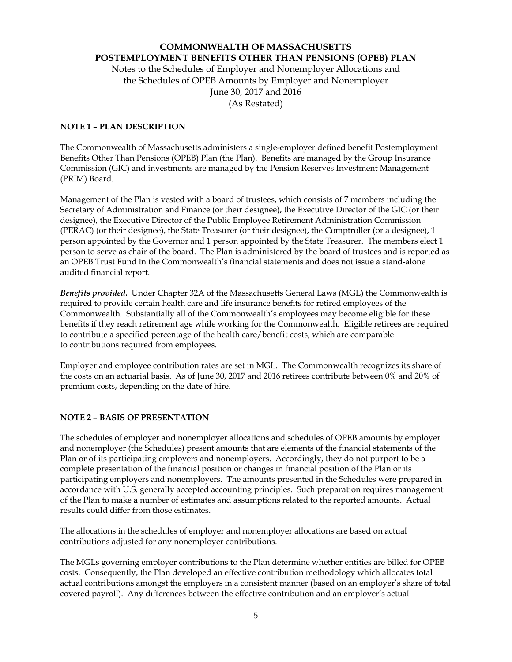## **COMMONWEALTH OF MASSACHUSETTS POSTEMPLOYMENT BENEFITS OTHER THAN PENSIONS (OPEB) PLAN**  Notes to the Schedules of Employer and Nonemployer Allocations and

the Schedules of OPEB Amounts by Employer and Nonemployer June 30, 2017 and 2016 (As Restated)

## **NOTE 1 – PLAN DESCRIPTION**

The Commonwealth of Massachusetts administers a single-employer defined benefit Postemployment Benefits Other Than Pensions (OPEB) Plan (the Plan). Benefits are managed by the Group Insurance Commission (GIC) and investments are managed by the Pension Reserves Investment Management (PRIM) Board.

Management of the Plan is vested with a board of trustees, which consists of 7 members including the Secretary of Administration and Finance (or their designee), the Executive Director of the GIC (or their designee), the Executive Director of the Public Employee Retirement Administration Commission (PERAC) (or their designee), the State Treasurer (or their designee), the Comptroller (or a designee), 1 person appointed by the Governor and 1 person appointed by the State Treasurer. The members elect 1 person to serve as chair of the board. The Plan is administered by the board of trustees and is reported as an OPEB Trust Fund in the Commonwealth's financial statements and does not issue a stand-alone audited financial report.

*Benefits provided***.** Under Chapter 32A of the Massachusetts General Laws (MGL) the Commonwealth is required to provide certain health care and life insurance benefits for retired employees of the Commonwealth. Substantially all of the Commonwealth's employees may become eligible for these benefits if they reach retirement age while working for the Commonwealth. Eligible retirees are required to contribute a specified percentage of the health care/benefit costs, which are comparable to contributions required from employees.

Employer and employee contribution rates are set in MGL. The Commonwealth recognizes its share of the costs on an actuarial basis. As of June 30, 2017 and 2016 retirees contribute between 0% and 20% of premium costs, depending on the date of hire.

## **NOTE 2 – BASIS OF PRESENTATION**

The schedules of employer and nonemployer allocations and schedules of OPEB amounts by employer and nonemployer (the Schedules) present amounts that are elements of the financial statements of the Plan or of its participating employers and nonemployers. Accordingly, they do not purport to be a complete presentation of the financial position or changes in financial position of the Plan or its participating employers and nonemployers. The amounts presented in the Schedules were prepared in accordance with U.S. generally accepted accounting principles. Such preparation requires management of the Plan to make a number of estimates and assumptions related to the reported amounts. Actual results could differ from those estimates.

The allocations in the schedules of employer and nonemployer allocations are based on actual contributions adjusted for any nonemployer contributions.

The MGLs governing employer contributions to the Plan determine whether entities are billed for OPEB costs. Consequently, the Plan developed an effective contribution methodology which allocates total actual contributions amongst the employers in a consistent manner (based on an employer's share of total covered payroll). Any differences between the effective contribution and an employer's actual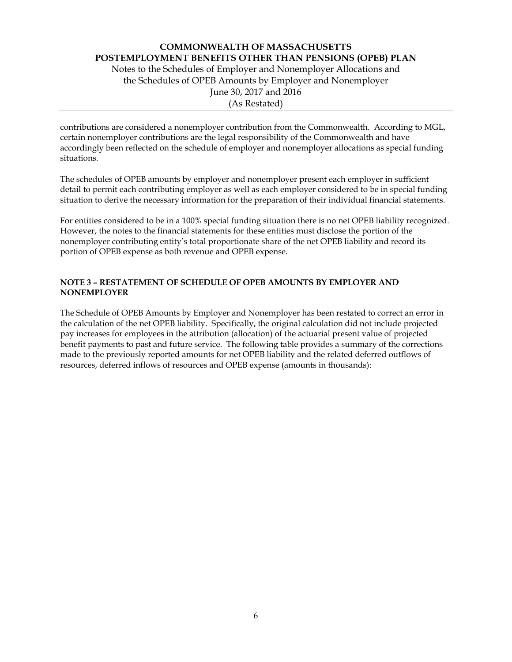Notes to the Schedules of Employer and Nonemployer Allocations and the Schedules of OPEB Amounts by Employer and Nonemployer June 30, 2017 and 2016 (As Restated)

contributions are considered a nonemployer contribution from the Commonwealth. According to MGL, certain nonemployer contributions are the legal responsibility of the Commonwealth and have accordingly been reflected on the schedule of employer and nonemployer allocations as special funding situations.

The schedules of OPEB amounts by employer and nonemployer present each employer in sufficient detail to permit each contributing employer as well as each employer considered to be in special funding situation to derive the necessary information for the preparation of their individual financial statements.

For entities considered to be in a 100% special funding situation there is no net OPEB liability recognized. However, the notes to the financial statements for these entities must disclose the portion of the nonemployer contributing entity's total proportionate share of the net OPEB liability and record its portion of OPEB expense as both revenue and OPEB expense.

## **NOTE 3 – RESTATEMENT OF SCHEDULE OF OPEB AMOUNTS BY EMPLOYER AND NONEMPLOYER**

The Schedule of OPEB Amounts by Employer and Nonemployer has been restated to correct an error in the calculation of the net OPEB liability. Specifically, the original calculation did not include projected pay increases for employees in the attribution (allocation) of the actuarial present value of projected benefit payments to past and future service. The following table provides a summary of the corrections made to the previously reported amounts for net OPEB liability and the related deferred outflows of resources, deferred inflows of resources and OPEB expense (amounts in thousands):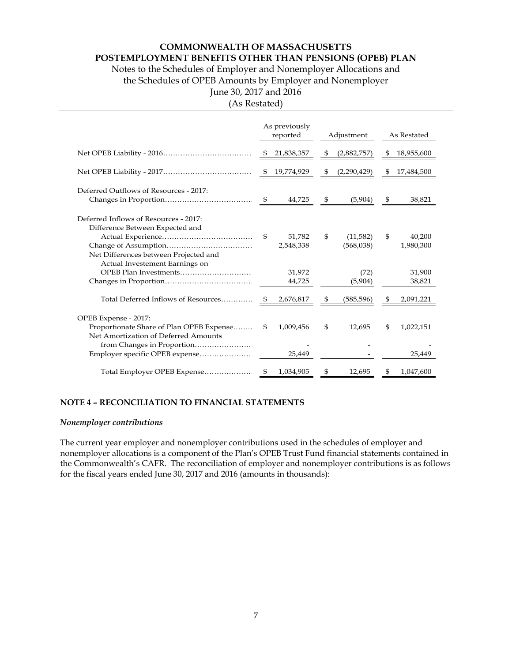## **COMMONWEALTH OF MASSACHUSETTS**

**POSTEMPLOYMENT BENEFITS OTHER THAN PENSIONS (OPEB) PLAN** 

Notes to the Schedules of Employer and Nonemployer Allocations and the Schedules of OPEB Amounts by Employer and Nonemployer June 30, 2017 and 2016

(As Restated)

|                                                                                                      |      | As previously<br>reported |     | Adjustment            |    | As Restated         |
|------------------------------------------------------------------------------------------------------|------|---------------------------|-----|-----------------------|----|---------------------|
|                                                                                                      | S    | 21,838,357                | \$  | (2,882,757)           | S  | 18,955,600          |
|                                                                                                      | \$   | 19,774,929                | \$  | (2,290,429)           |    | 17,484,500          |
| Deferred Outflows of Resources - 2017:                                                               | \$   | 44,725                    | -\$ | (5,904)               | \$ | 38,821              |
| Deferred Inflows of Resources - 2017:                                                                |      |                           |     |                       |    |                     |
| Difference Between Expected and<br>Net Differences between Projected and                             | \$   | 51,782<br>2,548,338       | \$  | (11,582)<br>(568,038) | \$ | 40,200<br>1,980,300 |
| Actual Investement Earnings on                                                                       |      | 31,972<br>44,725          |     | (72)<br>(5,904)       |    | 31,900<br>38,821    |
| Total Deferred Inflows of Resources                                                                  | - \$ | 2,676,817                 | \$  | (585, 596)            | \$ | 2,091,221           |
| OPEB Expense - 2017:                                                                                 |      |                           |     |                       |    |                     |
| Proportionate Share of Plan OPEB Expense                                                             | \$   | 1,009,456                 | \$  | 12,695                | \$ | 1,022,151           |
| Net Amortization of Deferred Amounts<br>from Changes in Proportion<br>Employer specific OPEB expense |      | 25,449                    |     |                       |    | 25,449              |
| Total Employer OPEB Expense                                                                          | S    | 1,034,905                 | S   | 12,695                | \$ | 1,047,600           |

## **NOTE 4 – RECONCILIATION TO FINANCIAL STATEMENTS**

#### *Nonemployer contributions*

The current year employer and nonemployer contributions used in the schedules of employer and nonemployer allocations is a component of the Plan's OPEB Trust Fund financial statements contained in the Commonwealth's CAFR. The reconciliation of employer and nonemployer contributions is as follows for the fiscal years ended June 30, 2017 and 2016 (amounts in thousands):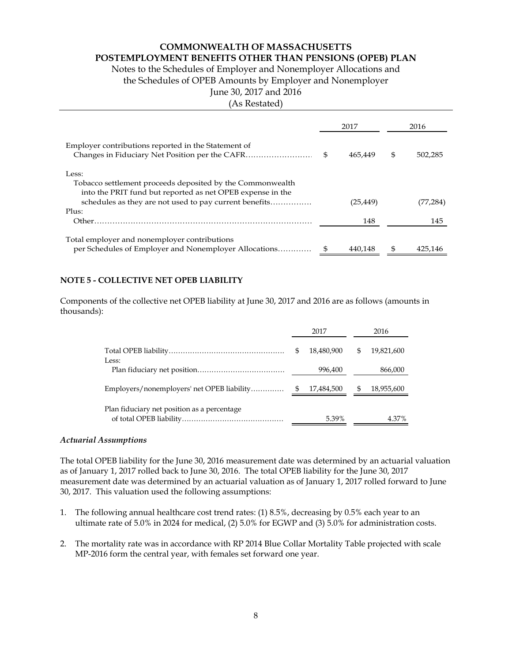## **COMMONWEALTH OF MASSACHUSETTS**

## **POSTEMPLOYMENT BENEFITS OTHER THAN PENSIONS (OPEB) PLAN**

Notes to the Schedules of Employer and Nonemployer Allocations and

the Schedules of OPEB Amounts by Employer and Nonemployer

# June 30, 2017 and 2016

<sup>(</sup>As Restated)

|                                                            | 2017          | 2016          |
|------------------------------------------------------------|---------------|---------------|
| Employer contributions reported in the Statement of        | \$<br>465.449 | \$<br>502.285 |
| Less:                                                      |               |               |
| Tobacco settlement proceeds deposited by the Commonwealth  |               |               |
| into the PRIT fund but reported as net OPEB expense in the |               |               |
|                                                            | (25,449)      | (77,284)      |
| Plus:                                                      |               |               |
| Other.                                                     | 148           | 145           |
| Total employer and nonemployer contributions               |               |               |
| per Schedules of Employer and Nonemployer Allocations      | 440.148       | 425.146       |

## **NOTE 5 - COLLECTIVE NET OPEB LIABILITY**

Components of the collective net OPEB liability at June 30, 2017 and 2016 are as follows (amounts in thousands):

|                                             |     | 2017       |   | 2016       |
|---------------------------------------------|-----|------------|---|------------|
| Less:                                       | \$. | 18,480,900 | S | 19,821,600 |
|                                             |     | 996,400    |   | 866,000    |
| Employers/nonemployers' net OPEB liability  | -\$ | 17,484,500 | S | 18,955,600 |
| Plan fiduciary net position as a percentage |     | 5.39%      |   | 4.37%      |

## *Actuarial Assumptions*

The total OPEB liability for the June 30, 2016 measurement date was determined by an actuarial valuation as of January 1, 2017 rolled back to June 30, 2016. The total OPEB liability for the June 30, 2017 measurement date was determined by an actuarial valuation as of January 1, 2017 rolled forward to June 30, 2017. This valuation used the following assumptions:

- 1. The following annual healthcare cost trend rates: (1) 8.5%, decreasing by 0.5% each year to an ultimate rate of 5.0% in 2024 for medical, (2) 5.0% for EGWP and (3) 5.0% for administration costs.
- 2. The mortality rate was in accordance with RP 2014 Blue Collar Mortality Table projected with scale MP-2016 form the central year, with females set forward one year.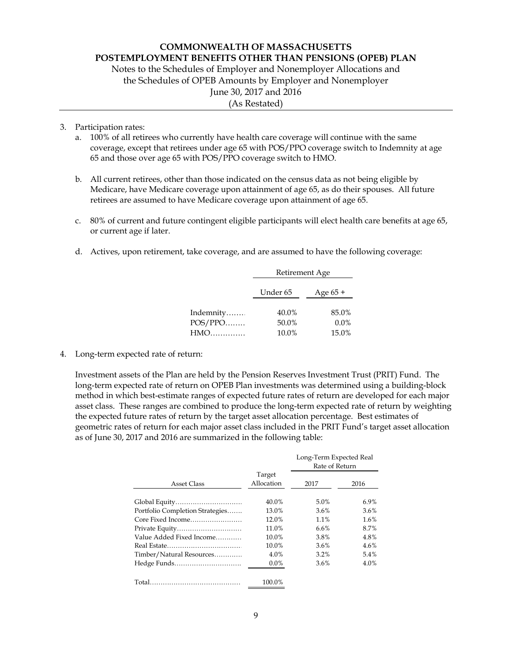Notes to the Schedules of Employer and Nonemployer Allocations and the Schedules of OPEB Amounts by Employer and Nonemployer June 30, 2017 and 2016 (As Restated)

## 3. Participation rates:

- a. 100% of all retirees who currently have health care coverage will continue with the same coverage, except that retirees under age 65 with POS/PPO coverage switch to Indemnity at age 65 and those over age 65 with POS/PPO coverage switch to HMO.
- b. All current retirees, other than those indicated on the census data as not being eligible by Medicare, have Medicare coverage upon attainment of age 65, as do their spouses. All future retirees are assumed to have Medicare coverage upon attainment of age 65.
- c. 80% of current and future contingent eligible participants will elect health care benefits at age 65, or current age if later.
- d. Actives, upon retirement, take coverage, and are assumed to have the following coverage:

|           | Retirement Age |          |  |  |  |  |
|-----------|----------------|----------|--|--|--|--|
|           | Under 65       | Age 65 + |  |  |  |  |
| Indemnity | 40.0%          | 85.0%    |  |  |  |  |
| $POS/PPO$ | 50.0%          | $0.0\%$  |  |  |  |  |
| HMO       | 10.0%          | 15.0%    |  |  |  |  |

## 4. Long-term expected rate of return:

Investment assets of the Plan are held by the Pension Reserves Investment Trust (PRIT) Fund. The long-term expected rate of return on OPEB Plan investments was determined using a building-block method in which best-estimate ranges of expected future rates of return are developed for each major asset class. These ranges are combined to produce the long-term expected rate of return by weighting the expected future rates of return by the target asset allocation percentage. Best estimates of geometric rates of return for each major asset class included in the PRIT Fund's target asset allocation as of June 30, 2017 and 2016 are summarized in the following table:

|                                 |                      | Long-Term Expected Real<br>Rate of Return |      |
|---------------------------------|----------------------|-------------------------------------------|------|
| Asset Class                     | Target<br>Allocation | 2017                                      | 2016 |
| Global Equity                   | 40.0%                | 5.0%                                      | 6.9% |
| Portfolio Completion Strategies | 13.0%                | 3.6%                                      | 3.6% |
| Core Fixed Income               | 12.0%                | 1.1%                                      | 1.6% |
| Private Equity                  | 11.0%                | 6.6%                                      | 8.7% |
| Value Added Fixed Income        | 10.0%                | 3.8%                                      | 4.8% |
|                                 | 10.0%                | 3.6%                                      | 4.6% |
| Timber/Natural Resources        | 4.0%                 | 3.2%                                      | 5.4% |
| Hedge Funds                     | $0.0\%$              | 3.6%                                      | 4.0% |
|                                 | 100.0%               |                                           |      |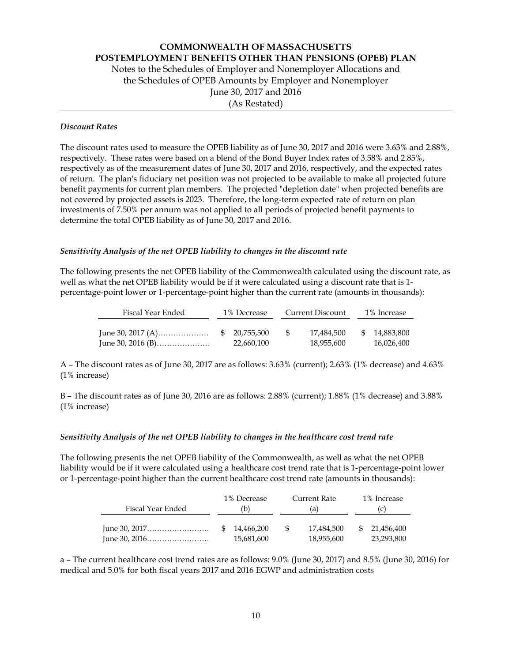Notes to the Schedules of Employer and Nonemployer Allocations and the Schedules of OPEB Amounts by Employer and Nonemployer June 30, 2017 and 2016 (As Restated)

## *Discount Rates*

The discount rates used to measure the OPEB liability as of June 30, 2017 and 2016 were 3.63% and 2.88%, respectively. These rates were based on a blend of the Bond Buyer Index rates of 3.58% and 2.85%, respectively as of the measurement dates of June 30, 2017 and 2016, respectively, and the expected rates of return. The plan's fiduciary net position was not projected to be available to make all projected future benefit payments for current plan members. The projected "depletion date" when projected benefits are not covered by projected assets is 2023. Therefore, the long-term expected rate of return on plan investments of 7.50% per annum was not applied to all periods of projected benefit payments to determine the total OPEB liability as of June 30, 2017 and 2016.

## *Sensitivity Analysis of the net OPEB liability to changes in the discount rate*

The following presents the net OPEB liability of the Commonwealth calculated using the discount rate, as well as what the net OPEB liability would be if it were calculated using a discount rate that is 1 percentage-point lower or 1-percentage-point higher than the current rate (amounts in thousands):

| Fiscal Year Ended                      | 1% Decrease |                            |     | Current Discount         | 1% Increase |                             |  |
|----------------------------------------|-------------|----------------------------|-----|--------------------------|-------------|-----------------------------|--|
| June 30, 2017 (A)<br>June 30, 2016 (B) |             | \$20,755,500<br>22,660,100 | -95 | 17.484.500<br>18,955,600 |             | \$ 14,883,800<br>16,026,400 |  |

A – The discount rates as of June 30, 2017 are as follows: 3.63% (current); 2.63% (1% decrease) and 4.63% (1% increase)

B – The discount rates as of June 30, 2016 are as follows: 2.88% (current); 1.88% (1% decrease) and 3.88% (1% increase)

## *Sensitivity Analysis of the net OPEB liability to changes in the healthcare cost trend rate*

The following presents the net OPEB liability of the Commonwealth, as well as what the net OPEB liability would be if it were calculated using a healthcare cost trend rate that is 1-percentage-point lower or 1-percentage-point higher than the current healthcare cost trend rate (amounts in thousands):

|                   |    | 1% Decrease |     | Current Rate | 1% Increase |
|-------------------|----|-------------|-----|--------------|-------------|
| Fiscal Year Ended | b) |             | (a) |              |             |
|                   |    |             |     |              |             |
|                   |    | 14.466.200  | -S  | 17,484,500   | 21,456,400  |
|                   |    | 15,681,600  |     | 18,955,600   | 23,293,800  |

a – The current healthcare cost trend rates are as follows: 9.0% (June 30, 2017) and 8.5% (June 30, 2016) for medical and 5.0% for both fiscal years 2017 and 2016 EGWP and administration costs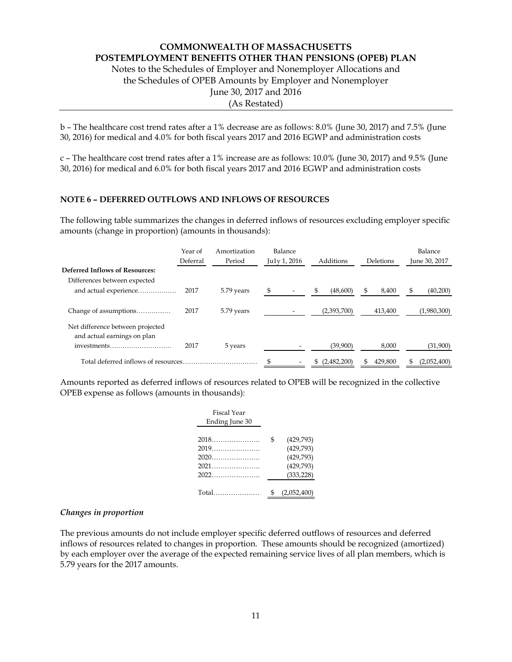Notes to the Schedules of Employer and Nonemployer Allocations and the Schedules of OPEB Amounts by Employer and Nonemployer June 30, 2017 and 2016 (As Restated)

b – The healthcare cost trend rates after a 1% decrease are as follows: 8.0% (June 30, 2017) and 7.5% (June 30, 2016) for medical and 4.0% for both fiscal years 2017 and 2016 EGWP and administration costs

c – The healthcare cost trend rates after a 1% increase are as follows: 10.0% (June 30, 2017) and 9.5% (June 30, 2016) for medical and 6.0% for both fiscal years 2017 and 2016 EGWP and administration costs

## **NOTE 6 – DEFERRED OUTFLOWS AND INFLOWS OF RESOURCES**

The following table summarizes the changes in deferred inflows of resources excluding employer specific amounts (change in proportion) (amounts in thousands):

|                                                                 | Year of  | Amortization | Balance                        |                |               | Balance        |
|-----------------------------------------------------------------|----------|--------------|--------------------------------|----------------|---------------|----------------|
|                                                                 | Deferral | Period       | Ju1y 1, 2016                   | Additions      | Deletions     | June 30, 2017  |
| <b>Deferred Inflows of Resources:</b>                           |          |              |                                |                |               |                |
| Differences between expected                                    |          |              |                                |                |               |                |
| and actual experience                                           | 2017     | 5.79 years   | \$<br>$\overline{\phantom{a}}$ | (48,600)<br>\$ | \$<br>8,400   | \$<br>(40,200) |
| Change of assumptions                                           | 2017     | 5.79 years   |                                | (2,393,700)    | 413,400       | (1,980,300)    |
| Net difference between projected<br>and actual earnings on plan |          |              |                                |                |               |                |
| investments                                                     | 2017     | 5 years      |                                | (39,900)       | 8,000         | (31,900)       |
|                                                                 |          |              | \$                             | \$(2,482,200)  | 429,800<br>S. | (2,052,400)    |

Amounts reported as deferred inflows of resources related to OPEB will be recognized in the collective OPEB expense as follows (amounts in thousands):

| Fiscal Year<br>Ending June 30                                                                                                                                                                                                  |                                                                      |
|--------------------------------------------------------------------------------------------------------------------------------------------------------------------------------------------------------------------------------|----------------------------------------------------------------------|
| 2018<br>$2019$<br>$2020$<br>$2021$                                                                                                                                                                                             | \$<br>(429,793)<br>(429,793)<br>(429,793)<br>(429,793)<br>(333, 228) |
| Total and the control of the control of the control of the control of the control of the control of the control of the control of the control of the control of the control of the control of the control of the control of th | \$<br>(2,052,400)                                                    |

#### *Changes in proportion*

The previous amounts do not include employer specific deferred outflows of resources and deferred inflows of resources related to changes in proportion. These amounts should be recognized (amortized) by each employer over the average of the expected remaining service lives of all plan members, which is 5.79 years for the 2017 amounts.